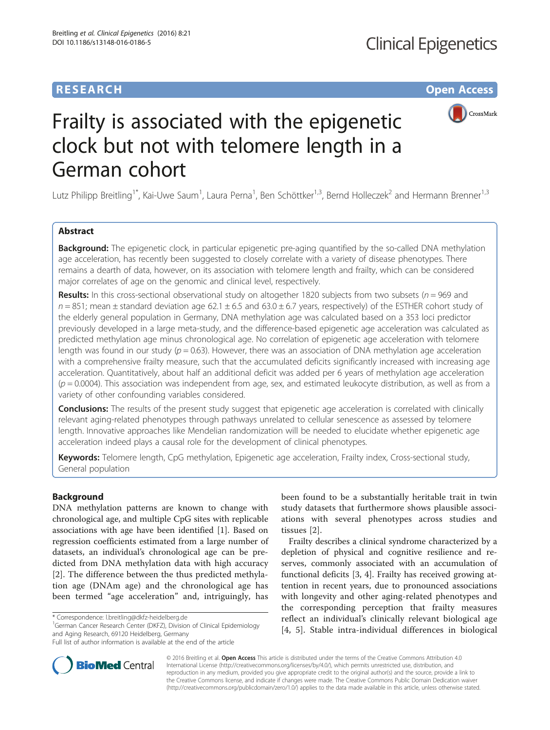# **RESEARCH CHE Open Access**



# Frailty is associated with the epigenetic clock but not with telomere length in a German cohort

Lutz Philipp Breitling<sup>1\*</sup>, Kai-Uwe Saum<sup>1</sup>, Laura Perna<sup>1</sup>, Ben Schöttker<sup>1,3</sup>, Bernd Holleczek<sup>2</sup> and Hermann Brenner<sup>1,3</sup>

# Abstract

**Background:** The epigenetic clock, in particular epigenetic pre-aging quantified by the so-called DNA methylation age acceleration, has recently been suggested to closely correlate with a variety of disease phenotypes. There remains a dearth of data, however, on its association with telomere length and frailty, which can be considered major correlates of age on the genomic and clinical level, respectively.

**Results:** In this cross-sectional observational study on altogether 1820 subjects from two subsets ( $n = 969$  and  $n = 851$ ; mean  $\pm$  standard deviation age 62.1  $\pm$  6.5 and 63.0  $\pm$  6.7 years, respectively) of the ESTHER cohort study of the elderly general population in Germany, DNA methylation age was calculated based on a 353 loci predictor previously developed in a large meta-study, and the difference-based epigenetic age acceleration was calculated as predicted methylation age minus chronological age. No correlation of epigenetic age acceleration with telomere length was found in our study ( $p = 0.63$ ). However, there was an association of DNA methylation age acceleration with a comprehensive frailty measure, such that the accumulated deficits significantly increased with increasing age acceleration. Quantitatively, about half an additional deficit was added per 6 years of methylation age acceleration  $(p = 0.0004)$ . This association was independent from age, sex, and estimated leukocyte distribution, as well as from a variety of other confounding variables considered.

**Conclusions:** The results of the present study suggest that epigenetic age acceleration is correlated with clinically relevant aging-related phenotypes through pathways unrelated to cellular senescence as assessed by telomere length. Innovative approaches like Mendelian randomization will be needed to elucidate whether epigenetic age acceleration indeed plays a causal role for the development of clinical phenotypes.

Keywords: Telomere length, CpG methylation, Epigenetic age acceleration, Frailty index, Cross-sectional study, General population

# Background

DNA methylation patterns are known to change with chronological age, and multiple CpG sites with replicable associations with age have been identified [\[1](#page-6-0)]. Based on regression coefficients estimated from a large number of datasets, an individual's chronological age can be predicted from DNA methylation data with high accuracy [[2\]](#page--1-0). The difference between the thus predicted methylation age (DNAm age) and the chronological age has been termed "age acceleration" and, intriguingly, has

<sup>1</sup>German Cancer Research Center (DKFZ), Division of Clinical Epidemiology and Aging Research, 69120 Heidelberg, Germany

been found to be a substantially heritable trait in twin study datasets that furthermore shows plausible associations with several phenotypes across studies and tissues [\[2](#page--1-0)].

Frailty describes a clinical syndrome characterized by a depletion of physical and cognitive resilience and reserves, commonly associated with an accumulation of functional deficits [[3, 4\]](#page--1-0). Frailty has received growing attention in recent years, due to pronounced associations with longevity and other aging-related phenotypes and the corresponding perception that frailty measures reflect an individual's clinically relevant biological age [[4, 5](#page--1-0)]. Stable intra-individual differences in biological



© 2016 Breitling et al. Open Access This article is distributed under the terms of the Creative Commons Attribution 4.0 International License [\(http://creativecommons.org/licenses/by/4.0/](http://creativecommons.org/licenses/by/4.0/)), which permits unrestricted use, distribution, and reproduction in any medium, provided you give appropriate credit to the original author(s) and the source, provide a link to the Creative Commons license, and indicate if changes were made. The Creative Commons Public Domain Dedication waiver [\(http://creativecommons.org/publicdomain/zero/1.0/](http://creativecommons.org/publicdomain/zero/1.0/)) applies to the data made available in this article, unless otherwise stated.

<sup>\*</sup> Correspondence: [l.breitling@dkfz-heidelberg.de](mailto:l.breitling@dkfz-heidelberg.de) <sup>1</sup>

Full list of author information is available at the end of the article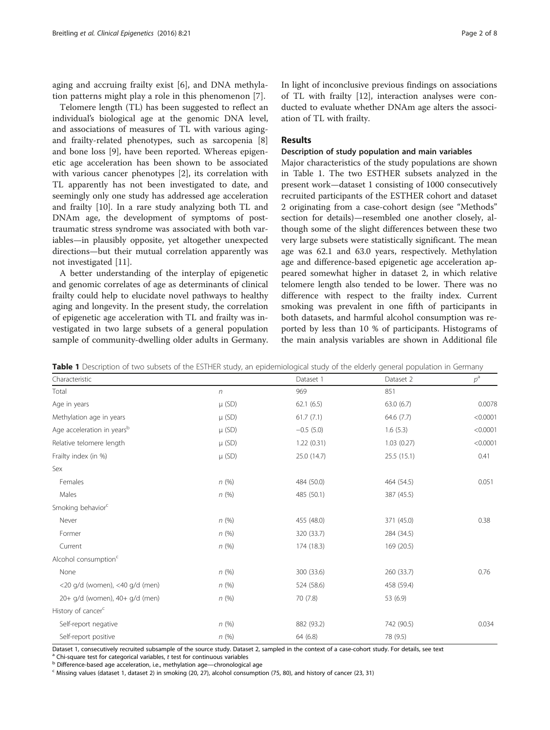aging and accruing frailty exist [\[6](#page--1-0)], and DNA methylation patterns might play a role in this phenomenon [\[7](#page--1-0)].

Telomere length (TL) has been suggested to reflect an individual's biological age at the genomic DNA level, and associations of measures of TL with various agingand frailty-related phenotypes, such as sarcopenia [\[8](#page--1-0)] and bone loss [\[9\]](#page--1-0), have been reported. Whereas epigenetic age acceleration has been shown to be associated with various cancer phenotypes [\[2](#page--1-0)], its correlation with TL apparently has not been investigated to date, and seemingly only one study has addressed age acceleration and frailty [[10\]](#page--1-0). In a rare study analyzing both TL and DNAm age, the development of symptoms of posttraumatic stress syndrome was associated with both variables—in plausibly opposite, yet altogether unexpected directions—but their mutual correlation apparently was not investigated [[11\]](#page--1-0).

A better understanding of the interplay of epigenetic and genomic correlates of age as determinants of clinical frailty could help to elucidate novel pathways to healthy aging and longevity. In the present study, the correlation of epigenetic age acceleration with TL and frailty was investigated in two large subsets of a general population sample of community-dwelling older adults in Germany. In light of inconclusive previous findings on associations of TL with frailty [[12\]](#page--1-0), interaction analyses were conducted to evaluate whether DNAm age alters the association of TL with frailty.

# Results

# Description of study population and main variables

Major characteristics of the study populations are shown in Table 1. The two ESTHER subsets analyzed in the present work—dataset 1 consisting of 1000 consecutively recruited participants of the ESTHER cohort and dataset 2 originating from a case-cohort design (see "[Methods](#page-5-0)" section for details)—resembled one another closely, although some of the slight differences between these two very large subsets were statistically significant. The mean age was 62.1 and 63.0 years, respectively. Methylation age and difference-based epigenetic age acceleration appeared somewhat higher in dataset 2, in which relative telomere length also tended to be lower. There was no difference with respect to the frailty index. Current smoking was prevalent in one fifth of participants in both datasets, and harmful alcohol consumption was reported by less than 10 % of participants. Histograms of the main analysis variables are shown in Additional file

| Characteristic                         |            | Dataset 1   | Dataset 2  | $p^{\rm a}$ |
|----------------------------------------|------------|-------------|------------|-------------|
| Total                                  | $\sqrt{n}$ | 969         | 851        |             |
| Age in years                           | $\mu$ (SD) | 62.1(6.5)   | 63.0(6.7)  | 0.0078      |
| Methylation age in years               | $\mu$ (SD) | 61.7(7.1)   | 64.6 (7.7) | < 0.0001    |
| Age acceleration in years <sup>b</sup> | $\mu$ (SD) | $-0.5(5.0)$ | 1.6(5.3)   | < 0.0001    |
| Relative telomere length               | $\mu$ (SD) | 1.22(0.31)  | 1.03(0.27) | < 0.0001    |
| Frailty index (in %)                   | $\mu$ (SD) | 25.0 (14.7) | 25.5(15.1) | 0.41        |
| Sex                                    |            |             |            |             |
| Females                                | n(%)       | 484 (50.0)  | 464 (54.5) | 0.051       |
| Males                                  | n(%)       | 485 (50.1)  | 387 (45.5) |             |
| Smoking behavior <sup>c</sup>          |            |             |            |             |
| Never                                  | n(%)       | 455 (48.0)  | 371 (45.0) | 0.38        |
| Former                                 | n(%)       | 320 (33.7)  | 284 (34.5) |             |
| Current                                | n(%)       | 174 (18.3)  | 169 (20.5) |             |
| Alcohol consumption <sup>c</sup>       |            |             |            |             |
| None                                   | n(%)       | 300 (33.6)  | 260 (33.7) | 0.76        |
| $<$ 20 g/d (women), $<$ 40 g/d (men)   | n(%)       | 524 (58.6)  | 458 (59.4) |             |
| 20+ g/d (women), 40+ g/d (men)         | n(%)       | 70 (7.8)    | 53 (6.9)   |             |
| History of cancer <sup>c</sup>         |            |             |            |             |
| Self-report negative                   | n(%)       | 882 (93.2)  | 742 (90.5) | 0.034       |
| Self-report positive                   | n(%)       | 64 (6.8)    | 78 (9.5)   |             |

Table 1 Description of two subsets of the ESTHER study, an epidemiological study of the elderly general population in Germany

Dataset 1, consecutively recruited subsample of the source study. Dataset 2, sampled in the context of a case-cohort study. For details, see text

<sup>a</sup> Chi-square test for categorical variables, *t* test for continuous variables<br><sup>b</sup> Difference-based age acceleration, i.e., methylation age—chronological age<br><sup>c</sup> Missing values (dataset 1, dataset 2) in smoking (20, 27)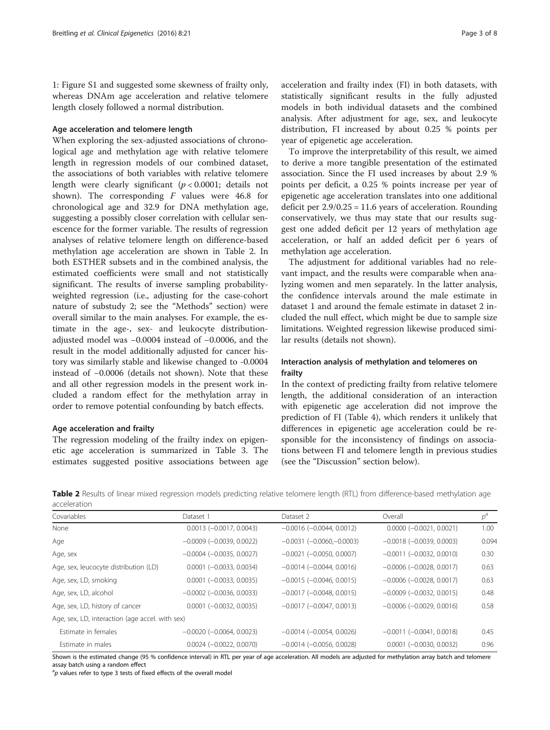[1:](#page-6-0) Figure S1 and suggested some skewness of frailty only, whereas DNAm age acceleration and relative telomere length closely followed a normal distribution.

#### Age acceleration and telomere length

When exploring the sex-adjusted associations of chronological age and methylation age with relative telomere length in regression models of our combined dataset, the associations of both variables with relative telomere length were clearly significant  $(p < 0.0001$ ; details not shown). The corresponding  $F$  values were 46.8 for chronological age and 32.9 for DNA methylation age, suggesting a possibly closer correlation with cellular senescence for the former variable. The results of regression analyses of relative telomere length on difference-based methylation age acceleration are shown in Table 2. In both ESTHER subsets and in the combined analysis, the estimated coefficients were small and not statistically significant. The results of inverse sampling probabilityweighted regression (i.e., adjusting for the case-cohort nature of substudy 2; see the "[Methods](#page-5-0)" section) were overall similar to the main analyses. For example, the estimate in the age-, sex- and leukocyte distributionadjusted model was −0.0004 instead of −0.0006, and the result in the model additionally adjusted for cancer history was similarly stable and likewise changed to -0.0004 instead of −0.0006 (details not shown). Note that these and all other regression models in the present work included a random effect for the methylation array in order to remove potential confounding by batch effects.

#### Age acceleration and frailty

The regression modeling of the frailty index on epigenetic age acceleration is summarized in Table [3](#page-3-0). The estimates suggested positive associations between age acceleration and frailty index (FI) in both datasets, with statistically significant results in the fully adjusted models in both individual datasets and the combined analysis. After adjustment for age, sex, and leukocyte distribution, FI increased by about 0.25 % points per year of epigenetic age acceleration.

To improve the interpretability of this result, we aimed to derive a more tangible presentation of the estimated association. Since the FI used increases by about 2.9 % points per deficit, a 0.25 % points increase per year of epigenetic age acceleration translates into one additional deficit per  $2.9/0.25 = 11.6$  years of acceleration. Rounding conservatively, we thus may state that our results suggest one added deficit per 12 years of methylation age acceleration, or half an added deficit per 6 years of methylation age acceleration.

The adjustment for additional variables had no relevant impact, and the results were comparable when analyzing women and men separately. In the latter analysis, the confidence intervals around the male estimate in dataset 1 and around the female estimate in dataset 2 included the null effect, which might be due to sample size limitations. Weighted regression likewise produced similar results (details not shown).

## Interaction analysis of methylation and telomeres on frailty

In the context of predicting frailty from relative telomere length, the additional consideration of an interaction with epigenetic age acceleration did not improve the prediction of FI (Table [4\)](#page-3-0), which renders it unlikely that differences in epigenetic age acceleration could be responsible for the inconsistency of findings on associations between FI and telomere length in previous studies (see the "[Discussion](#page-3-0)" section below).

Table 2 Results of linear mixed regression models predicting relative telomere length (RTL) from difference-based methylation age acceleration

| Covariables                                     | Dataset 1                         | Dataset 2                       | Overall                           | $p^{\rm a}$ |
|-------------------------------------------------|-----------------------------------|---------------------------------|-----------------------------------|-------------|
| None                                            | $0.0013 (-0.0017, 0.0043)$        | $-0.0016$ ( $-0.0044$ , 0.0012) | $0.0000 (-0.0021, 0.0021)$        | 1.00        |
| Age                                             | $-0.0009$ ( $-0.0039$ , 0.0022)   | $-0.0031$ $(-0.0060,-0.0003)$   | $-0.0018$ ( $-0.0039$ , 0.0003)   | 0.094       |
| Age, sex                                        | $-0.0004$ $(-0.0035, 0.0027)$     | $-0.0021$ ( $-0.0050$ , 0.0007) | $-0.0011$ $(-0.0032, 0.0010)$     | 0.30        |
| Age, sex, leucocyte distribution (LD)           | $0.0001$ ( $-0.0033$ , $0.0034$ ) | $-0.0014$ $(-0.0044, 0.0016)$   | $-0.0006$ ( $-0.0028$ , 0.0017)   | 0.63        |
| Age, sex, LD, smoking                           | $0.0001$ ( $-0.0033$ , $0.0035$ ) | $-0.0015$ ( $-0.0046$ , 0.0015) | $-0.0006$ ( $-0.0028$ , 0.0017)   | 0.63        |
| Age, sex, LD, alcohol                           | $-0.0002$ ( $-0.0036$ , 0.0033)   | $-0.0017$ $(-0.0048, 0.0015)$   | $-0.0009$ $(-0.0032, 0.0015)$     | 0.48        |
| Age, sex, LD, history of cancer                 | $0.0001$ ( $-0.0032$ , 0.0035)    | $-0.0017$ ( $-0.0047$ , 0.0013) | $-0.0006$ ( $-0.0029$ , 0.0016)   | 0.58        |
| Age, sex, LD, interaction (age accel. with sex) |                                   |                                 |                                   |             |
| Estimate in females                             | $-0.0020$ $(-0.0064, 0.0023)$     | $-0.0014$ $(-0.0054, 0.0026)$   | $-0.0011$ $(-0.0041, 0.0018)$     | 0.45        |
| Estimate in males                               | $0.0024 (-0.0022, 0.0070)$        | $-0.0014$ $(-0.0056, 0.0028)$   | $0.0001$ ( $-0.0030$ , $0.0032$ ) | 0.96        |

Shown is the estimated change (95 % confidence interval) in RTL per year of age acceleration. All models are adjusted for methylation array batch and telomere assay batch using a random effect

 $a_p$  values refer to type 3 tests of fixed effects of the overall model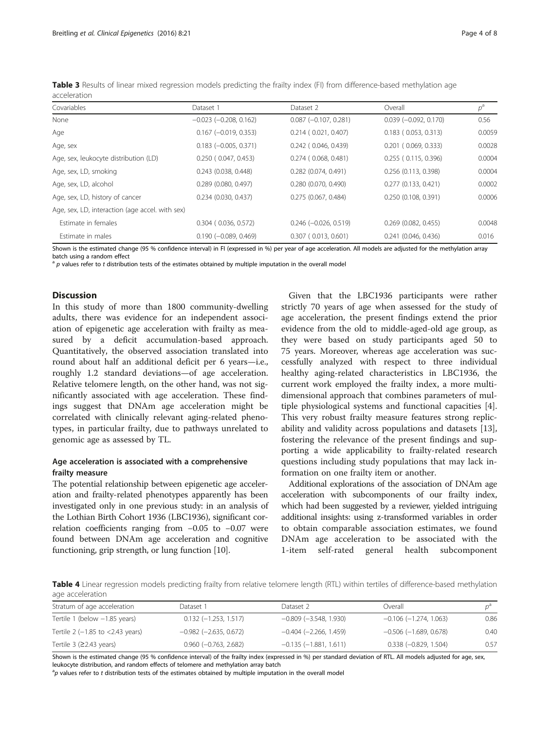<span id="page-3-0"></span>

| Table 3 Results of linear mixed regression models predicting the frailty index (FI) from difference-based methylation age |           |           |         |  |
|---------------------------------------------------------------------------------------------------------------------------|-----------|-----------|---------|--|
| acceleration                                                                                                              |           |           |         |  |
| Covariables                                                                                                               | Dataset 1 | Dataset 2 | Overall |  |

| Covariables                                     | Dataset 1                     | Dataset 2                     | Overall                       | $p^a$  |
|-------------------------------------------------|-------------------------------|-------------------------------|-------------------------------|--------|
| None                                            | $-0.023$ ( $-0.208$ , 0.162)  | $0.087 (-0.107, 0.281)$       | $0.039 (-0.092, 0.170)$       | 0.56   |
| Age                                             | $0.167 (-0.019, 0.353)$       | $0.214$ ( $0.021$ , $0.407$ ) | $0.183$ ( $0.053$ , $0.313$ ) | 0.0059 |
| Age, sex                                        | $0.183 (-0.005, 0.371)$       | $0.242$ ( $0.046$ , $0.439$ ) | $0.201$ ( $0.069$ , $0.333$ ) | 0.0028 |
| Age, sex, leukocyte distribution (LD)           | $0.250$ ( $0.047$ , $0.453$ ) | $0.274$ ( $0.068$ , $0.481$ ) | $0.255$ ( $0.115$ , $0.396$ ) | 0.0004 |
| Age, sex, LD, smoking                           | 0.243 (0.038, 0.448)          | 0.282 (0.074, 0.491)          | 0.256 (0.113, 0.398)          | 0.0004 |
| Age, sex, LD, alcohol                           | $0.289$ (0.080, 0.497)        | 0.280 (0.070, 0.490)          | $0.277$ (0.133, 0.421)        | 0.0002 |
| Age, sex, LD, history of cancer                 | $0.234$ (0.030, 0.437)        | 0.275(0.067, 0.484)           | 0.250(0.108, 0.391)           | 0.0006 |
| Age, sex, LD, interaction (age accel. with sex) |                               |                               |                               |        |
| Estimate in females                             | $0.304$ ( $0.036$ , $0.572$ ) | $0.246 (-0.026, 0.519)$       | $0.269$ (0.082, 0.455)        | 0.0048 |
| Estimate in males                               | $0.190 (-0.089, 0.469)$       | $0.307$ ( $0.013$ , $0.601$ ) | 0.241 (0.046, 0.436)          | 0.016  |

Shown is the estimated change (95 % confidence interval) in FI (expressed in %) per year of age acceleration. All models are adjusted for the methylation array

batch using a random effect

 $^{\text{a}}$  p values refer to t distribution tests of the estimates obtained by multiple imputation in the overall model

## Discussion

In this study of more than 1800 community-dwelling adults, there was evidence for an independent association of epigenetic age acceleration with frailty as measured by a deficit accumulation-based approach. Quantitatively, the observed association translated into round about half an additional deficit per 6 years—i.e., roughly 1.2 standard deviations—of age acceleration. Relative telomere length, on the other hand, was not significantly associated with age acceleration. These findings suggest that DNAm age acceleration might be correlated with clinically relevant aging-related phenotypes, in particular frailty, due to pathways unrelated to genomic age as assessed by TL.

## Age acceleration is associated with a comprehensive frailty measure

The potential relationship between epigenetic age acceleration and frailty-related phenotypes apparently has been investigated only in one previous study: in an analysis of the Lothian Birth Cohort 1936 (LBC1936), significant correlation coefficients ranging from −0.05 to −0.07 were found between DNAm age acceleration and cognitive functioning, grip strength, or lung function [[10](#page--1-0)].

Given that the LBC1936 participants were rather strictly 70 years of age when assessed for the study of age acceleration, the present findings extend the prior evidence from the old to middle-aged-old age group, as they were based on study participants aged 50 to 75 years. Moreover, whereas age acceleration was successfully analyzed with respect to three individual healthy aging-related characteristics in LBC1936, the current work employed the frailty index, a more multidimensional approach that combines parameters of multiple physiological systems and functional capacities [\[4](#page--1-0)]. This very robust frailty measure features strong replicability and validity across populations and datasets [\[13](#page--1-0)], fostering the relevance of the present findings and supporting a wide applicability to frailty-related research questions including study populations that may lack information on one frailty item or another.

Additional explorations of the association of DNAm age acceleration with subcomponents of our frailty index, which had been suggested by a reviewer, yielded intriguing additional insights: using z-transformed variables in order to obtain comparable association estimates, we found DNAm age acceleration to be associated with the 1-item self-rated general health subcomponent

Table 4 Linear regression models predicting frailty from relative telomere length (RTL) within tertiles of difference-based methylation age acceleration

| Stratum of age acceleration        | Dataset 1                    | Dataset 2                    | Overall                      |      |
|------------------------------------|------------------------------|------------------------------|------------------------------|------|
| Tertile 1 (below -1.85 years)      | $0.132(-1.253, 1.517)$       | $-0.809$ ( $-3.548$ , 1.930) | $-0.106$ ( $-1.274$ , 1.063) | 0.86 |
| Tertile $2$ (-1.85 to <2.43 years) | $-0.982$ ( $-2.635$ , 0.672) | $-0.404$ ( $-2.266$ , 1.459) | $-0.506$ ( $-1.689$ , 0.678) | 0.40 |
| Tertile $3$ ( $\geq$ 2.43 years)   | $0.960$ ( $-0.763$ , 2.682)  | $-0.135$ ( $-1.881$ , 1.611) | $0.338 (-0.829, 1.504)$      | 0.57 |

Shown is the estimated change (95 % confidence interval) of the frailty index (expressed in %) per standard deviation of RTL. All models adjusted for age, sex, leukocyte distribution, and random effects of telomere and methylation array batch

<sup>a</sup>p values refer to t distribution tests of the estimates obtained by multiple imputation in the overall model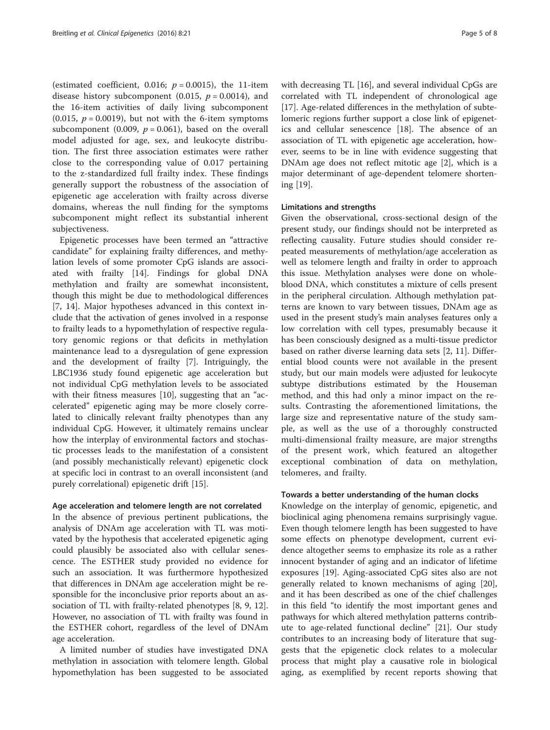(estimated coefficient, 0.016;  $p = 0.0015$ ), the 11-item disease history subcomponent (0.015,  $p = 0.0014$ ), and the 16-item activities of daily living subcomponent  $(0.015, p = 0.0019)$ , but not with the 6-item symptoms subcomponent (0.009,  $p = 0.061$ ), based on the overall model adjusted for age, sex, and leukocyte distribution. The first three association estimates were rather close to the corresponding value of 0.017 pertaining to the z-standardized full frailty index. These findings generally support the robustness of the association of epigenetic age acceleration with frailty across diverse domains, whereas the null finding for the symptoms subcomponent might reflect its substantial inherent subjectiveness.

Epigenetic processes have been termed an "attractive candidate" for explaining frailty differences, and methylation levels of some promoter CpG islands are associated with frailty [\[14\]](#page--1-0). Findings for global DNA methylation and frailty are somewhat inconsistent, though this might be due to methodological differences [[7, 14](#page--1-0)]. Major hypotheses advanced in this context include that the activation of genes involved in a response to frailty leads to a hypomethylation of respective regulatory genomic regions or that deficits in methylation maintenance lead to a dysregulation of gene expression and the development of frailty [[7](#page--1-0)]. Intriguingly, the LBC1936 study found epigenetic age acceleration but not individual CpG methylation levels to be associated with their fitness measures [\[10\]](#page--1-0), suggesting that an "accelerated" epigenetic aging may be more closely correlated to clinically relevant frailty phenotypes than any individual CpG. However, it ultimately remains unclear how the interplay of environmental factors and stochastic processes leads to the manifestation of a consistent (and possibly mechanistically relevant) epigenetic clock at specific loci in contrast to an overall inconsistent (and purely correlational) epigenetic drift [[15](#page--1-0)].

#### Age acceleration and telomere length are not correlated

In the absence of previous pertinent publications, the analysis of DNAm age acceleration with TL was motivated by the hypothesis that accelerated epigenetic aging could plausibly be associated also with cellular senescence. The ESTHER study provided no evidence for such an association. It was furthermore hypothesized that differences in DNAm age acceleration might be responsible for the inconclusive prior reports about an association of TL with frailty-related phenotypes [[8, 9](#page--1-0), [12](#page--1-0)]. However, no association of TL with frailty was found in the ESTHER cohort, regardless of the level of DNAm age acceleration.

A limited number of studies have investigated DNA methylation in association with telomere length. Global hypomethylation has been suggested to be associated

with decreasing TL [[16\]](#page--1-0), and several individual CpGs are correlated with TL independent of chronological age [[17\]](#page--1-0). Age-related differences in the methylation of subtelomeric regions further support a close link of epigenetics and cellular senescence [[18\]](#page--1-0). The absence of an association of TL with epigenetic age acceleration, however, seems to be in line with evidence suggesting that DNAm age does not reflect mitotic age [[2\]](#page--1-0), which is a major determinant of age-dependent telomere shortening [\[19](#page--1-0)].

#### Limitations and strengths

Given the observational, cross-sectional design of the present study, our findings should not be interpreted as reflecting causality. Future studies should consider repeated measurements of methylation/age acceleration as well as telomere length and frailty in order to approach this issue. Methylation analyses were done on wholeblood DNA, which constitutes a mixture of cells present in the peripheral circulation. Although methylation patterns are known to vary between tissues, DNAm age as used in the present study's main analyses features only a low correlation with cell types, presumably because it has been consciously designed as a multi-tissue predictor based on rather diverse learning data sets [[2, 11](#page--1-0)]. Differential blood counts were not available in the present study, but our main models were adjusted for leukocyte subtype distributions estimated by the Houseman method, and this had only a minor impact on the results. Contrasting the aforementioned limitations, the large size and representative nature of the study sample, as well as the use of a thoroughly constructed multi-dimensional frailty measure, are major strengths of the present work, which featured an altogether exceptional combination of data on methylation, telomeres, and frailty.

## Towards a better understanding of the human clocks

Knowledge on the interplay of genomic, epigenetic, and bioclinical aging phenomena remains surprisingly vague. Even though telomere length has been suggested to have some effects on phenotype development, current evidence altogether seems to emphasize its role as a rather innocent bystander of aging and an indicator of lifetime exposures [\[19](#page--1-0)]. Aging-associated CpG sites also are not generally related to known mechanisms of aging [\[20](#page--1-0)], and it has been described as one of the chief challenges in this field "to identify the most important genes and pathways for which altered methylation patterns contribute to age-related functional decline" [\[21](#page--1-0)]. Our study contributes to an increasing body of literature that suggests that the epigenetic clock relates to a molecular process that might play a causative role in biological aging, as exemplified by recent reports showing that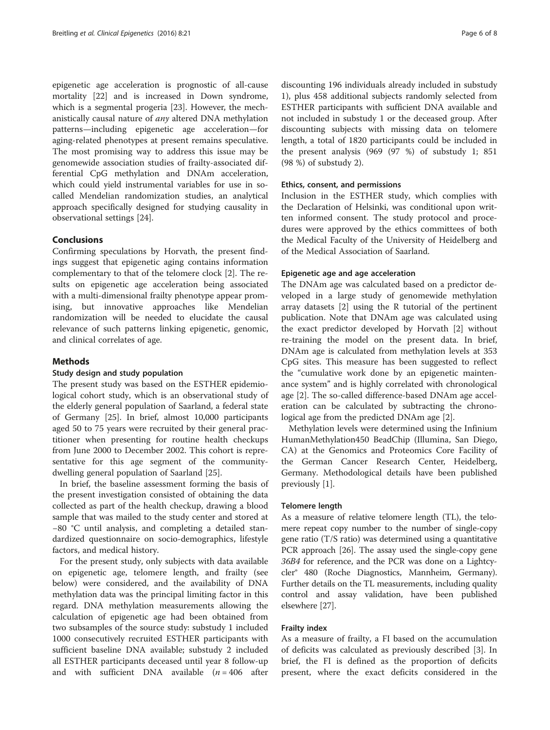<span id="page-5-0"></span>epigenetic age acceleration is prognostic of all-cause mortality [[22](#page--1-0)] and is increased in Down syndrome, which is a segmental progeria [[23\]](#page--1-0). However, the mechanistically causal nature of any altered DNA methylation patterns—including epigenetic age acceleration—for aging-related phenotypes at present remains speculative. The most promising way to address this issue may be genomewide association studies of frailty-associated differential CpG methylation and DNAm acceleration, which could yield instrumental variables for use in socalled Mendelian randomization studies, an analytical approach specifically designed for studying causality in observational settings [\[24](#page--1-0)].

### **Conclusions**

Confirming speculations by Horvath, the present findings suggest that epigenetic aging contains information complementary to that of the telomere clock [[2](#page--1-0)]. The results on epigenetic age acceleration being associated with a multi-dimensional frailty phenotype appear promising, but innovative approaches like Mendelian randomization will be needed to elucidate the causal relevance of such patterns linking epigenetic, genomic, and clinical correlates of age.

#### Methods

#### Study design and study population

The present study was based on the ESTHER epidemiological cohort study, which is an observational study of the elderly general population of Saarland, a federal state of Germany [[25](#page--1-0)]. In brief, almost 10,000 participants aged 50 to 75 years were recruited by their general practitioner when presenting for routine health checkups from June 2000 to December 2002. This cohort is representative for this age segment of the communitydwelling general population of Saarland [[25](#page--1-0)].

In brief, the baseline assessment forming the basis of the present investigation consisted of obtaining the data collected as part of the health checkup, drawing a blood sample that was mailed to the study center and stored at −80 °C until analysis, and completing a detailed standardized questionnaire on socio-demographics, lifestyle factors, and medical history.

For the present study, only subjects with data available on epigenetic age, telomere length, and frailty (see below) were considered, and the availability of DNA methylation data was the principal limiting factor in this regard. DNA methylation measurements allowing the calculation of epigenetic age had been obtained from two subsamples of the source study: substudy 1 included 1000 consecutively recruited ESTHER participants with sufficient baseline DNA available; substudy 2 included all ESTHER participants deceased until year 8 follow-up and with sufficient DNA available  $(n = 406$  after

discounting 196 individuals already included in substudy 1), plus 458 additional subjects randomly selected from ESTHER participants with sufficient DNA available and not included in substudy 1 or the deceased group. After discounting subjects with missing data on telomere length, a total of 1820 participants could be included in the present analysis (969 (97 %) of substudy 1; 851 (98 %) of substudy 2).

#### Ethics, consent, and permissions

Inclusion in the ESTHER study, which complies with the Declaration of Helsinki, was conditional upon written informed consent. The study protocol and procedures were approved by the ethics committees of both the Medical Faculty of the University of Heidelberg and of the Medical Association of Saarland.

## Epigenetic age and age acceleration

The DNAm age was calculated based on a predictor developed in a large study of genomewide methylation array datasets [[2\]](#page--1-0) using the R tutorial of the pertinent publication. Note that DNAm age was calculated using the exact predictor developed by Horvath [[2\]](#page--1-0) without re-training the model on the present data. In brief, DNAm age is calculated from methylation levels at 353 CpG sites. This measure has been suggested to reflect the "cumulative work done by an epigenetic maintenance system" and is highly correlated with chronological age [\[2](#page--1-0)]. The so-called difference-based DNAm age acceleration can be calculated by subtracting the chronological age from the predicted DNAm age [\[2](#page--1-0)].

Methylation levels were determined using the Infinium HumanMethylation450 BeadChip (Illumina, San Diego, CA) at the Genomics and Proteomics Core Facility of the German Cancer Research Center, Heidelberg, Germany. Methodological details have been published previously [\[1](#page-6-0)].

#### Telomere length

As a measure of relative telomere length (TL), the telomere repeat copy number to the number of single-copy gene ratio (T/S ratio) was determined using a quantitative PCR approach [\[26](#page--1-0)]. The assay used the single-copy gene 36B4 for reference, and the PCR was done on a Lightcycler® 480 (Roche Diagnostics, Mannheim, Germany). Further details on the TL measurements, including quality control and assay validation, have been published elsewhere [\[27](#page--1-0)].

#### Frailty index

As a measure of frailty, a FI based on the accumulation of deficits was calculated as previously described [[3\]](#page--1-0). In brief, the FI is defined as the proportion of deficits present, where the exact deficits considered in the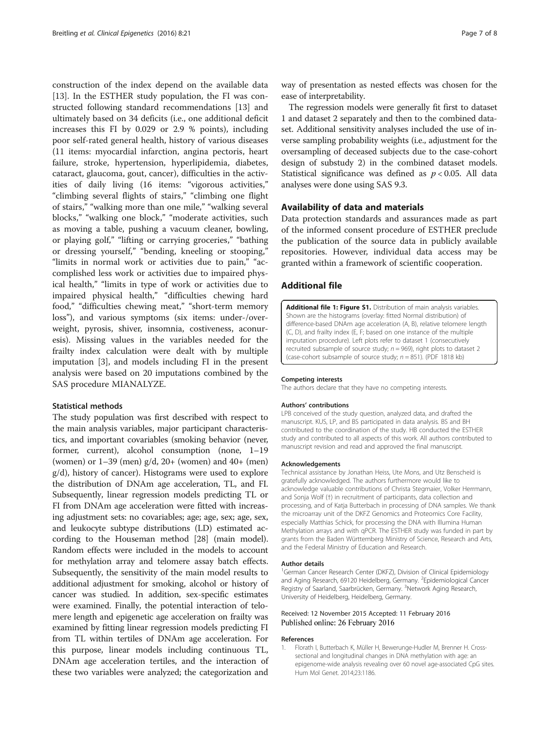<span id="page-6-0"></span>construction of the index depend on the available data [[13\]](#page--1-0). In the ESTHER study population, the FI was constructed following standard recommendations [[13\]](#page--1-0) and ultimately based on 34 deficits (i.e., one additional deficit increases this FI by 0.029 or 2.9 % points), including poor self-rated general health, history of various diseases (11 items: myocardial infarction, angina pectoris, heart failure, stroke, hypertension, hyperlipidemia, diabetes, cataract, glaucoma, gout, cancer), difficulties in the activities of daily living (16 items: "vigorous activities," "climbing several flights of stairs," "climbing one flight of stairs," "walking more than one mile," "walking several blocks," "walking one block," "moderate activities, such as moving a table, pushing a vacuum cleaner, bowling, or playing golf," "lifting or carrying groceries," "bathing or dressing yourself," "bending, kneeling or stooping," "limits in normal work or activities due to pain," "accomplished less work or activities due to impaired physical health," "limits in type of work or activities due to impaired physical health," "difficulties chewing hard food," "difficulties chewing meat," "short-term memory loss"), and various symptoms (six items: under-/overweight, pyrosis, shiver, insomnia, costiveness, aconuresis). Missing values in the variables needed for the frailty index calculation were dealt with by multiple imputation [\[3](#page--1-0)], and models including FI in the present analysis were based on 20 imputations combined by the SAS procedure MIANALYZE.

#### Statistical methods

The study population was first described with respect to the main analysis variables, major participant characteristics, and important covariables (smoking behavior (never, former, current), alcohol consumption (none, 1–19 (women) or  $1-39$  (men)  $g/d$ ,  $20+$  (women) and  $40+$  (men) g/d), history of cancer). Histograms were used to explore the distribution of DNAm age acceleration, TL, and FI. Subsequently, linear regression models predicting TL or FI from DNAm age acceleration were fitted with increasing adjustment sets: no covariables; age; age, sex; age, sex, and leukocyte subtype distributions (LD) estimated according to the Houseman method [\[28\]](#page--1-0) (main model). Random effects were included in the models to account for methylation array and telomere assay batch effects. Subsequently, the sensitivity of the main model results to additional adjustment for smoking, alcohol or history of cancer was studied. In addition, sex-specific estimates were examined. Finally, the potential interaction of telomere length and epigenetic age acceleration on frailty was examined by fitting linear regression models predicting FI from TL within tertiles of DNAm age acceleration. For this purpose, linear models including continuous TL, DNAm age acceleration tertiles, and the interaction of these two variables were analyzed; the categorization and

way of presentation as nested effects was chosen for the ease of interpretability.

The regression models were generally fit first to dataset 1 and dataset 2 separately and then to the combined dataset. Additional sensitivity analyses included the use of inverse sampling probability weights (i.e., adjustment for the oversampling of deceased subjects due to the case-cohort design of substudy 2) in the combined dataset models. Statistical significance was defined as  $p < 0.05$ . All data analyses were done using SAS 9.3.

#### Availability of data and materials

Data protection standards and assurances made as part of the informed consent procedure of ESTHER preclude the publication of the source data in publicly available repositories. However, individual data access may be granted within a framework of scientific cooperation.

## Additional file

[Additional file 1: Figure S1.](dx.doi.org/10.1186/s13148-016-0186-5) Distribution of main analysis variables. Shown are the histograms (overlay: fitted Normal distribution) of difference-based DNAm age acceleration (A, B), relative telomere length (C, D), and frailty index (E, F; based on one instance of the multiple imputation procedure). Left plots refer to dataset 1 (consecutively recruited subsample of source study;  $n = 969$ ), right plots to dataset 2 (case-cohort subsample of source study;  $n = 851$ ). (PDF 1818 kb)

#### Competing interests

The authors declare that they have no competing interests.

#### Authors' contributions

LPB conceived of the study question, analyzed data, and drafted the manuscript. KUS, LP, and BS participated in data analysis. BS and BH contributed to the coordination of the study. HB conducted the ESTHER study and contributed to all aspects of this work. All authors contributed to manuscript revision and read and approved the final manuscript.

#### Acknowledgements

Technical assistance by Jonathan Heiss, Ute Mons, and Utz Benscheid is gratefully acknowledged. The authors furthermore would like to acknowledge valuable contributions of Christa Stegmaier, Volker Herrmann, and Sonja Wolf (†) in recruitment of participants, data collection and processing, and of Katja Butterbach in processing of DNA samples. We thank the microarray unit of the DKFZ Genomics and Proteomics Core Facility, especially Matthias Schick, for processing the DNA with Illumina Human Methylation arrays and with qPCR. The ESTHER study was funded in part by grants from the Baden Württemberg Ministry of Science, Research and Arts, and the Federal Ministry of Education and Research.

#### Author details

<sup>1</sup>German Cancer Research Center (DKFZ), Division of Clinical Epidemiology and Aging Research, 69120 Heidelberg, Germany. <sup>2</sup>Epidemiological Cancer Registry of Saarland, Saarbrücken, Germany. <sup>3</sup>Network Aging Research, University of Heidelberg, Heidelberg, Germany.

#### Received: 12 November 2015 Accepted: 11 February 2016 Published online: 26 February 2016

#### References

1. Florath I, Butterbach K, Müller H, Bewerunge-Hudler M, Brenner H. Crosssectional and longitudinal changes in DNA methylation with age: an epigenome-wide analysis revealing over 60 novel age-associated CpG sites. Hum Mol Genet. 2014;23:1186.